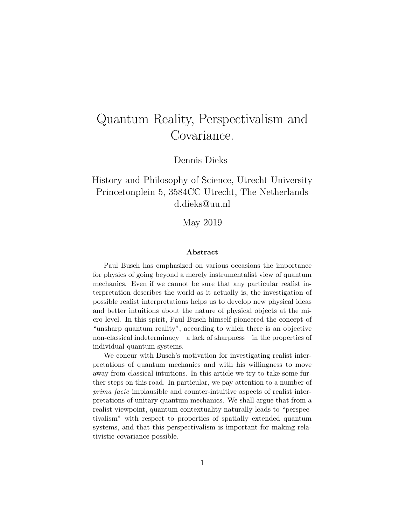# Quantum Reality, Perspectivalism and Covariance.

Dennis Dieks

#### History and Philosophy of Science, Utrecht University Princetonplein 5, 3584CC Utrecht, The Netherlands d.dieks@uu.nl

May 2019

#### Abstract

Paul Busch has emphasized on various occasions the importance for physics of going beyond a merely instrumentalist view of quantum mechanics. Even if we cannot be sure that any particular realist interpretation describes the world as it actually is, the investigation of possible realist interpretations helps us to develop new physical ideas and better intuitions about the nature of physical objects at the micro level. In this spirit, Paul Busch himself pioneered the concept of "unsharp quantum reality", according to which there is an objective non-classical indeterminacy—a lack of sharpness—in the properties of individual quantum systems.

We concur with Busch's motivation for investigating realist interpretations of quantum mechanics and with his willingness to move away from classical intuitions. In this article we try to take some further steps on this road. In particular, we pay attention to a number of prima facie implausible and counter-intuitive aspects of realist interpretations of unitary quantum mechanics. We shall argue that from a realist viewpoint, quantum contextuality naturally leads to "perspectivalism" with respect to properties of spatially extended quantum systems, and that this perspectivalism is important for making relativistic covariance possible.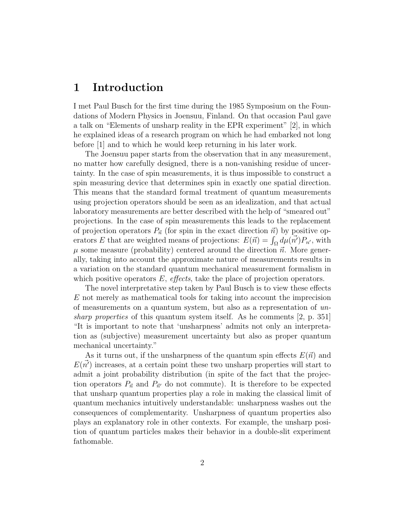#### 1 Introduction

I met Paul Busch for the first time during the 1985 Symposium on the Foundations of Modern Physics in Joensuu, Finland. On that occasion Paul gave a talk on "Elements of unsharp reality in the EPR experiment" [2], in which he explained ideas of a research program on which he had embarked not long before [1] and to which he would keep returning in his later work.

The Joensuu paper starts from the observation that in any measurement, no matter how carefully designed, there is a non-vanishing residue of uncertainty. In the case of spin measurements, it is thus impossible to construct a spin measuring device that determines spin in exactly one spatial direction. This means that the standard formal treatment of quantum measurements using projection operators should be seen as an idealization, and that actual laboratory measurements are better described with the help of "smeared out" projections. In the case of spin measurements this leads to the replacement of projection operators  $P_{\vec{n}}$  (for spin in the exact direction  $\vec{n}$ ) by positive operators E that are weighted means of projections:  $E(\vec{n}) = \int_{\Omega} d\mu(\vec{n'}) P_{n'}$ , with  $\mu$  some measure (probability) centered around the direction  $\vec{n}$ . More generally, taking into account the approximate nature of measurements results in a variation on the standard quantum mechanical measurement formalism in which positive operators  $E$ , *effects*, take the place of projection operators.

The novel interpretative step taken by Paul Busch is to view these effects E not merely as mathematical tools for taking into account the imprecision of measurements on a quantum system, but also as a representation of unsharp properties of this quantum system itself. As he comments [2, p. 351] "It is important to note that 'unsharpness' admits not only an interpretation as (subjective) measurement uncertainty but also as proper quantum mechanical uncertainty."

As it turns out, if the unsharpness of the quantum spin effects  $E(\vec{n})$  and  $E(\vec{n'})$  increases, at a certain point these two unsharp properties will start to admit a joint probability distribution (in spite of the fact that the projection operators  $P_{\vec{n}}$  and  $P_{\vec{n}'}$  do not commute). It is therefore to be expected that unsharp quantum properties play a role in making the classical limit of quantum mechanics intuitively understandable: unsharpness washes out the consequences of complementarity. Unsharpness of quantum properties also plays an explanatory role in other contexts. For example, the unsharp position of quantum particles makes their behavior in a double-slit experiment fathomable.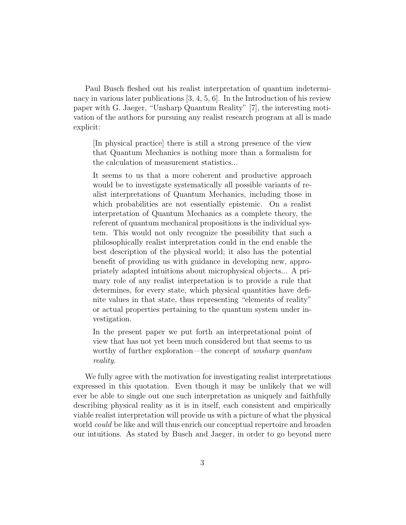Paul Busch fleshed out his realist interpretation of quantum indeterminacy in various later publications [3, 4, 5, 6]. In the Introduction of his review paper with G. Jaeger, "Unsharp Quantum Reality" [7], the interesting motivation of the authors for pursuing any realist research program at all is made explicit:

[In physical practice] there is still a strong presence of the view that Quantum Mechanics is nothing more than a formalism for the calculation of measurement statistics...

It seems to us that a more coherent and productive approach would be to investigate systematically all possible variants of realist interpretations of Quantum Mechanics, including those in which probabilities are not essentially epistemic. On a realist interpretation of Quantum Mechanics as a complete theory, the referent of quantum mechanical propositions is the individual system. This would not only recognize the possibility that such a philosophically realist interpretation could in the end enable the best description of the physical world; it also has the potential benefit of providing us with guidance in developing new, appropriately adapted intuitions about microphysical objects... A primary role of any realist interpretation is to provide a rule that determines, for every state, which physical quantities have definite values in that state, thus representing "elements of reality" or actual properties pertaining to the quantum system under investigation.

In the present paper we put forth an interpretational point of view that has not yet been much considered but that seems to us worthy of further exploration—the concept of unsharp quantum reality.

We fully agree with the motivation for investigating realist interpretations expressed in this quotation. Even though it may be unlikely that we will ever be able to single out one such interpretation as uniquely and faithfully describing physical reality as it is in itself, each consistent and empirically viable realist interpretation will provide us with a picture of what the physical world *could* be like and will thus enrich our conceptual repertoire and broaden our intuitions. As stated by Busch and Jaeger, in order to go beyond mere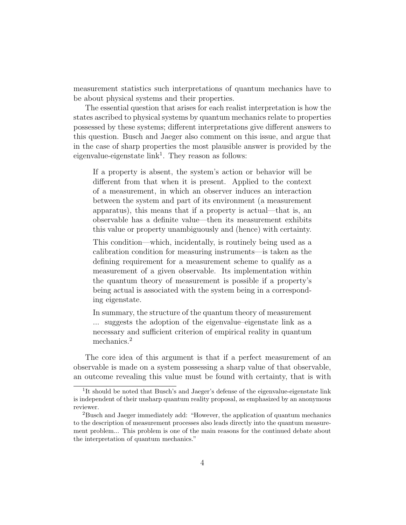measurement statistics such interpretations of quantum mechanics have to be about physical systems and their properties.

The essential question that arises for each realist interpretation is how the states ascribed to physical systems by quantum mechanics relate to properties possessed by these systems; different interpretations give different answers to this question. Busch and Jaeger also comment on this issue, and argue that in the case of sharp properties the most plausible answer is provided by the eigenvalue-eigenstate  $link<sup>1</sup>$ . They reason as follows:

If a property is absent, the system's action or behavior will be different from that when it is present. Applied to the context of a measurement, in which an observer induces an interaction between the system and part of its environment (a measurement apparatus), this means that if a property is actual—that is, an observable has a definite value—then its measurement exhibits this value or property unambiguously and (hence) with certainty.

This condition—which, incidentally, is routinely being used as a calibration condition for measuring instruments—is taken as the defining requirement for a measurement scheme to qualify as a measurement of a given observable. Its implementation within the quantum theory of measurement is possible if a property's being actual is associated with the system being in a corresponding eigenstate.

In summary, the structure of the quantum theory of measurement ... suggests the adoption of the eigenvalue–eigenstate link as a necessary and sufficient criterion of empirical reality in quantum mechanics.<sup>2</sup>

The core idea of this argument is that if a perfect measurement of an observable is made on a system possessing a sharp value of that observable, an outcome revealing this value must be found with certainty, that is with

<sup>&</sup>lt;sup>1</sup>It should be noted that Busch's and Jaeger's defense of the eigenvalue-eigenstate link is independent of their unsharp quantum reality proposal, as emphasized by an anonymous reviewer.

<sup>2</sup>Busch and Jaeger immediately add: "However, the application of quantum mechanics to the description of measurement processes also leads directly into the quantum measurement problem... This problem is one of the main reasons for the continued debate about the interpretation of quantum mechanics."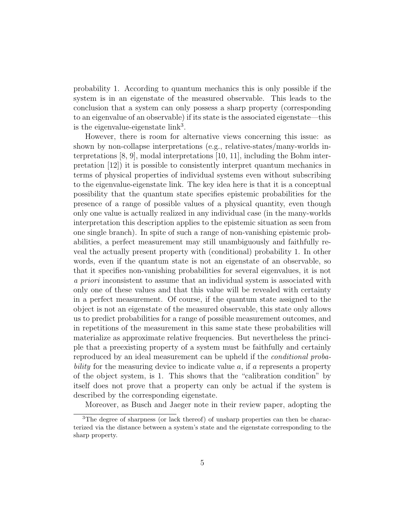probability 1. According to quantum mechanics this is only possible if the system is in an eigenstate of the measured observable. This leads to the conclusion that a system can only possess a sharp property (corresponding to an eigenvalue of an observable) if its state is the associated eigenstate—this is the eigenvalue-eigenstate link<sup>3</sup>.

However, there is room for alternative views concerning this issue: as shown by non-collapse interpretations (e.g., relative-states/many-worlds interpretations [8, 9], modal interpretations [10, 11], including the Bohm interpretation [12]) it is possible to consistently interpret quantum mechanics in terms of physical properties of individual systems even without subscribing to the eigenvalue-eigenstate link. The key idea here is that it is a conceptual possibility that the quantum state specifies epistemic probabilities for the presence of a range of possible values of a physical quantity, even though only one value is actually realized in any individual case (in the many-worlds interpretation this description applies to the epistemic situation as seen from one single branch). In spite of such a range of non-vanishing epistemic probabilities, a perfect measurement may still unambiguously and faithfully reveal the actually present property with (conditional) probability 1. In other words, even if the quantum state is not an eigenstate of an observable, so that it specifies non-vanishing probabilities for several eigenvalues, it is not a priori inconsistent to assume that an individual system is associated with only one of these values and that this value will be revealed with certainty in a perfect measurement. Of course, if the quantum state assigned to the object is not an eigenstate of the measured observable, this state only allows us to predict probabilities for a range of possible measurement outcomes, and in repetitions of the measurement in this same state these probabilities will materialize as approximate relative frequencies. But nevertheless the principle that a preexisting property of a system must be faithfully and certainly reproduced by an ideal measurement can be upheld if the conditional probability for the measuring device to indicate value  $a$ , if a represents a property of the object system, is 1. This shows that the "calibration condition" by itself does not prove that a property can only be actual if the system is described by the corresponding eigenstate.

Moreover, as Busch and Jaeger note in their review paper, adopting the

<sup>&</sup>lt;sup>3</sup>The degree of sharpness (or lack thereof) of unsharp properties can then be characterized via the distance between a system's state and the eigenstate corresponding to the sharp property.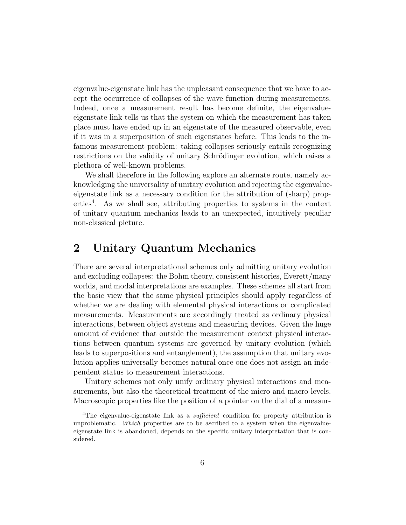eigenvalue-eigenstate link has the unpleasant consequence that we have to accept the occurrence of collapses of the wave function during measurements. Indeed, once a measurement result has become definite, the eigenvalueeigenstate link tells us that the system on which the measurement has taken place must have ended up in an eigenstate of the measured observable, even if it was in a superposition of such eigenstates before. This leads to the infamous measurement problem: taking collapses seriously entails recognizing restrictions on the validity of unitary Schrödinger evolution, which raises a plethora of well-known problems.

We shall therefore in the following explore an alternate route, namely acknowledging the universality of unitary evolution and rejecting the eigenvalueeigenstate link as a necessary condition for the attribution of (sharp) properties<sup>4</sup>. As we shall see, attributing properties to systems in the context of unitary quantum mechanics leads to an unexpected, intuitively peculiar non-classical picture.

### 2 Unitary Quantum Mechanics

There are several interpretational schemes only admitting unitary evolution and excluding collapses: the Bohm theory, consistent histories, Everett/many worlds, and modal interpretations are examples. These schemes all start from the basic view that the same physical principles should apply regardless of whether we are dealing with elemental physical interactions or complicated measurements. Measurements are accordingly treated as ordinary physical interactions, between object systems and measuring devices. Given the huge amount of evidence that outside the measurement context physical interactions between quantum systems are governed by unitary evolution (which leads to superpositions and entanglement), the assumption that unitary evolution applies universally becomes natural once one does not assign an independent status to measurement interactions.

Unitary schemes not only unify ordinary physical interactions and measurements, but also the theoretical treatment of the micro and macro levels. Macroscopic properties like the position of a pointer on the dial of a measur-

<sup>&</sup>lt;sup>4</sup>The eigenvalue-eigenstate link as a *sufficient* condition for property attribution is unproblematic. Which properties are to be ascribed to a system when the eigenvalueeigenstate link is abandoned, depends on the specific unitary interpretation that is considered.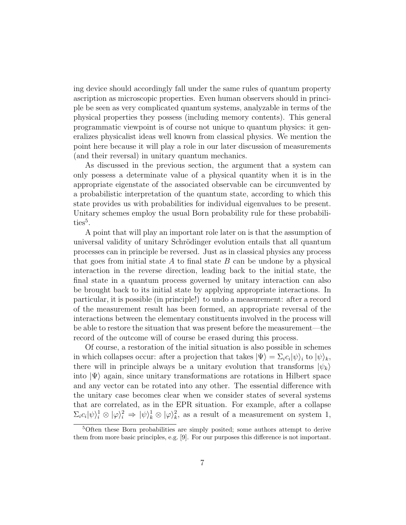ing device should accordingly fall under the same rules of quantum property ascription as microscopic properties. Even human observers should in principle be seen as very complicated quantum systems, analyzable in terms of the physical properties they possess (including memory contents). This general programmatic viewpoint is of course not unique to quantum physics: it generalizes physicalist ideas well known from classical physics. We mention the point here because it will play a role in our later discussion of measurements (and their reversal) in unitary quantum mechanics.

As discussed in the previous section, the argument that a system can only possess a determinate value of a physical quantity when it is in the appropriate eigenstate of the associated observable can be circumvented by a probabilistic interpretation of the quantum state, according to which this state provides us with probabilities for individual eigenvalues to be present. Unitary schemes employ the usual Born probability rule for these probabili $ties^5$ .

A point that will play an important role later on is that the assumption of universal validity of unitary Schrödinger evolution entails that all quantum processes can in principle be reversed. Just as in classical physics any process that goes from initial state  $A$  to final state  $B$  can be undone by a physical interaction in the reverse direction, leading back to the initial state, the final state in a quantum process governed by unitary interaction can also be brought back to its initial state by applying appropriate interactions. In particular, it is possible (in principle!) to undo a measurement: after a record of the measurement result has been formed, an appropriate reversal of the interactions between the elementary constituents involved in the process will be able to restore the situation that was present before the measurement—the record of the outcome will of course be erased during this process.

Of course, a restoration of the initial situation is also possible in schemes in which collapses occur: after a projection that takes  $|\Psi\rangle = \sum_i c_i |\psi\rangle_i$  to  $|\psi\rangle_k$ , there will in principle always be a unitary evolution that transforms  $|\psi_k\rangle$ into  $|\Psi\rangle$  again, since unitary transformations are rotations in Hilbert space and any vector can be rotated into any other. The essential difference with the unitary case becomes clear when we consider states of several systems that are correlated, as in the EPR situation. For example, after a collapse  $\Sigma_i c_i |\psi\rangle_i^1 \otimes |\varphi\rangle_i^2 \Rightarrow |\psi\rangle_k^1 \otimes |\varphi\rangle_k^2$ , as a result of a measurement on system 1,

<sup>5</sup>Often these Born probabilities are simply posited; some authors attempt to derive them from more basic principles, e.g. [9]. For our purposes this difference is not important.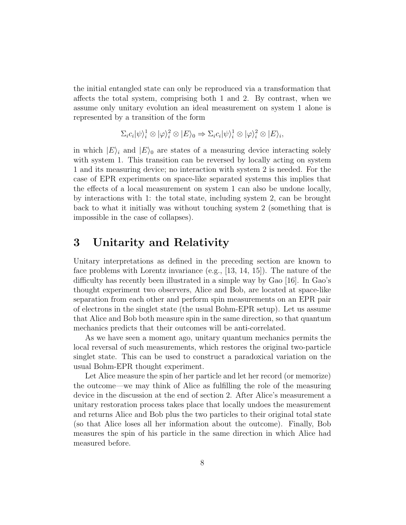the initial entangled state can only be reproduced via a transformation that affects the total system, comprising both 1 and 2. By contrast, when we assume only unitary evolution an ideal measurement on system 1 alone is represented by a transition of the form

$$
\Sigma_i c_i |\psi\rangle_i^1 \otimes |\varphi\rangle_i^2 \otimes |E\rangle_0 \Rightarrow \Sigma_i c_i |\psi\rangle_i^1 \otimes |\varphi\rangle_i^2 \otimes |E\rangle_i,
$$

in which  $|E\rangle$  and  $|E\rangle$  are states of a measuring device interacting solely with system 1. This transition can be reversed by locally acting on system 1 and its measuring device; no interaction with system 2 is needed. For the case of EPR experiments on space-like separated systems this implies that the effects of a local measurement on system 1 can also be undone locally, by interactions with 1: the total state, including system 2, can be brought back to what it initially was without touching system 2 (something that is impossible in the case of collapses).

#### 3 Unitarity and Relativity

Unitary interpretations as defined in the preceding section are known to face problems with Lorentz invariance (e.g., [13, 14, 15]). The nature of the difficulty has recently been illustrated in a simple way by Gao [16]. In Gao's thought experiment two observers, Alice and Bob, are located at space-like separation from each other and perform spin measurements on an EPR pair of electrons in the singlet state (the usual Bohm-EPR setup). Let us assume that Alice and Bob both measure spin in the same direction, so that quantum mechanics predicts that their outcomes will be anti-correlated.

As we have seen a moment ago, unitary quantum mechanics permits the local reversal of such measurements, which restores the original two-particle singlet state. This can be used to construct a paradoxical variation on the usual Bohm-EPR thought experiment.

Let Alice measure the spin of her particle and let her record (or memorize) the outcome—we may think of Alice as fulfilling the role of the measuring device in the discussion at the end of section 2. After Alice's measurement a unitary restoration process takes place that locally undoes the measurement and returns Alice and Bob plus the two particles to their original total state (so that Alice loses all her information about the outcome). Finally, Bob measures the spin of his particle in the same direction in which Alice had measured before.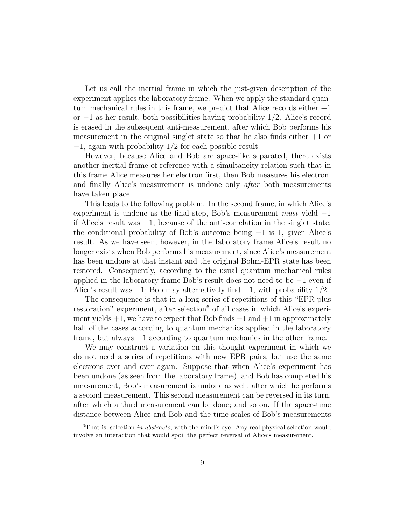Let us call the inertial frame in which the just-given description of the experiment applies the laboratory frame. When we apply the standard quantum mechanical rules in this frame, we predict that Alice records either  $+1$ or −1 as her result, both possibilities having probability 1/2. Alice's record is erased in the subsequent anti-measurement, after which Bob performs his measurement in the original singlet state so that he also finds either  $+1$  or −1, again with probability 1/2 for each possible result.

However, because Alice and Bob are space-like separated, there exists another inertial frame of reference with a simultaneity relation such that in this frame Alice measures her electron first, then Bob measures his electron, and finally Alice's measurement is undone only after both measurements have taken place.

This leads to the following problem. In the second frame, in which Alice's experiment is undone as the final step, Bob's measurement must yield  $-1$ if Alice's result was  $+1$ , because of the anti-correlation in the singlet state: the conditional probability of Bob's outcome being −1 is 1, given Alice's result. As we have seen, however, in the laboratory frame Alice's result no longer exists when Bob performs his measurement, since Alice's measurement has been undone at that instant and the original Bohm-EPR state has been restored. Consequently, according to the usual quantum mechanical rules applied in the laboratory frame Bob's result does not need to be −1 even if Alice's result was  $+1$ ; Bob may alternatively find  $-1$ , with probability  $1/2$ .

The consequence is that in a long series of repetitions of this "EPR plus restoration" experiment, after selection<sup>6</sup> of all cases in which Alice's experiment yields  $+1$ , we have to expect that Bob finds  $-1$  and  $+1$  in approximately half of the cases according to quantum mechanics applied in the laboratory frame, but always −1 according to quantum mechanics in the other frame.

We may construct a variation on this thought experiment in which we do not need a series of repetitions with new EPR pairs, but use the same electrons over and over again. Suppose that when Alice's experiment has been undone (as seen from the laboratory frame), and Bob has completed his measurement, Bob's measurement is undone as well, after which he performs a second measurement. This second measurement can be reversed in its turn, after which a third measurement can be done; and so on. If the space-time distance between Alice and Bob and the time scales of Bob's measurements

 ${}^{6}$ That is, selection in abstracto, with the mind's eye. Any real physical selection would involve an interaction that would spoil the perfect reversal of Alice's measurement.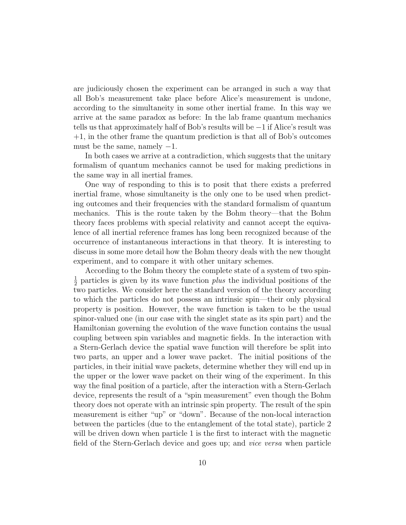are judiciously chosen the experiment can be arranged in such a way that all Bob's measurement take place before Alice's measurement is undone, according to the simultaneity in some other inertial frame. In this way we arrive at the same paradox as before: In the lab frame quantum mechanics tells us that approximately half of Bob's results will be −1 if Alice's result was +1, in the other frame the quantum prediction is that all of Bob's outcomes must be the same, namely  $-1$ .

In both cases we arrive at a contradiction, which suggests that the unitary formalism of quantum mechanics cannot be used for making predictions in the same way in all inertial frames.

One way of responding to this is to posit that there exists a preferred inertial frame, whose simultaneity is the only one to be used when predicting outcomes and their frequencies with the standard formalism of quantum mechanics. This is the route taken by the Bohm theory—that the Bohm theory faces problems with special relativity and cannot accept the equivalence of all inertial reference frames has long been recognized because of the occurrence of instantaneous interactions in that theory. It is interesting to discuss in some more detail how the Bohm theory deals with the new thought experiment, and to compare it with other unitary schemes.

According to the Bohm theory the complete state of a system of two spin-1  $\frac{1}{2}$  particles is given by its wave function *plus* the individual positions of the two particles. We consider here the standard version of the theory according to which the particles do not possess an intrinsic spin—their only physical property is position. However, the wave function is taken to be the usual spinor-valued one (in our case with the singlet state as its spin part) and the Hamiltonian governing the evolution of the wave function contains the usual coupling between spin variables and magnetic fields. In the interaction with a Stern-Gerlach device the spatial wave function will therefore be split into two parts, an upper and a lower wave packet. The initial positions of the particles, in their initial wave packets, determine whether they will end up in the upper or the lower wave packet on their wing of the experiment. In this way the final position of a particle, after the interaction with a Stern-Gerlach device, represents the result of a "spin measurement" even though the Bohm theory does not operate with an intrinsic spin property. The result of the spin measurement is either "up" or "down". Because of the non-local interaction between the particles (due to the entanglement of the total state), particle 2 will be driven down when particle 1 is the first to interact with the magnetic field of the Stern-Gerlach device and goes up; and vice versa when particle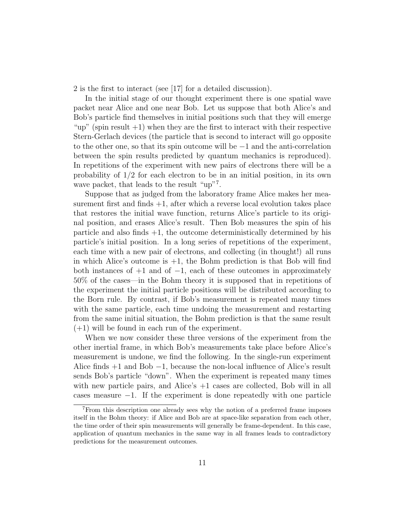2 is the first to interact (see [17] for a detailed discussion).

In the initial stage of our thought experiment there is one spatial wave packet near Alice and one near Bob. Let us suppose that both Alice's and Bob's particle find themselves in initial positions such that they will emerge "up" (spin result  $+1$ ) when they are the first to interact with their respective Stern-Gerlach devices (the particle that is second to interact will go opposite to the other one, so that its spin outcome will be −1 and the anti-correlation between the spin results predicted by quantum mechanics is reproduced). In repetitions of the experiment with new pairs of electrons there will be a probability of 1/2 for each electron to be in an initial position, in its own wave packet, that leads to the result "up"<sup>7</sup>.

Suppose that as judged from the laboratory frame Alice makes her measurement first and finds  $+1$ , after which a reverse local evolution takes place that restores the initial wave function, returns Alice's particle to its original position, and erases Alice's result. Then Bob measures the spin of his particle and also finds +1, the outcome deterministically determined by his particle's initial position. In a long series of repetitions of the experiment, each time with a new pair of electrons, and collecting (in thought!) all runs in which Alice's outcome is  $+1$ , the Bohm prediction is that Bob will find both instances of  $+1$  and of  $-1$ , each of these outcomes in approximately 50% of the cases—in the Bohm theory it is supposed that in repetitions of the experiment the initial particle positions will be distributed according to the Born rule. By contrast, if Bob's measurement is repeated many times with the same particle, each time undoing the measurement and restarting from the same initial situation, the Bohm prediction is that the same result  $(+1)$  will be found in each run of the experiment.

When we now consider these three versions of the experiment from the other inertial frame, in which Bob's measurements take place before Alice's measurement is undone, we find the following. In the single-run experiment Alice finds +1 and Bob −1, because the non-local influence of Alice's result sends Bob's particle "down". When the experiment is repeated many times with new particle pairs, and Alice's +1 cases are collected, Bob will in all cases measure  $-1$ . If the experiment is done repeatedly with one particle

<sup>7</sup>From this description one already sees why the notion of a preferred frame imposes itself in the Bohm theory: if Alice and Bob are at space-like separation from each other, the time order of their spin measurements will generally be frame-dependent. In this case, application of quantum mechanics in the same way in all frames leads to contradictory predictions for the measurement outcomes.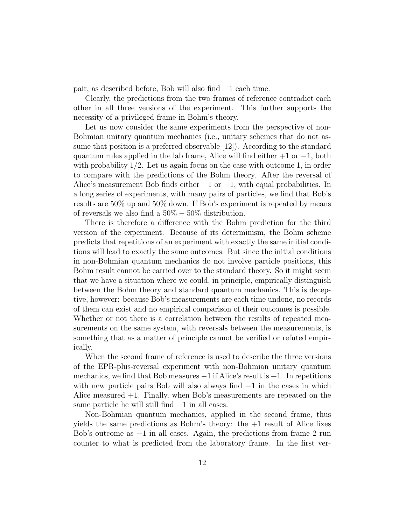pair, as described before, Bob will also find −1 each time.

Clearly, the predictions from the two frames of reference contradict each other in all three versions of the experiment. This further supports the necessity of a privileged frame in Bohm's theory.

Let us now consider the same experiments from the perspective of non-Bohmian unitary quantum mechanics (i.e., unitary schemes that do not assume that position is a preferred observable [12]). According to the standard quantum rules applied in the lab frame, Alice will find either +1 or −1, both with probability  $1/2$ . Let us again focus on the case with outcome 1, in order to compare with the predictions of the Bohm theory. After the reversal of Alice's measurement Bob finds either  $+1$  or  $-1$ , with equal probabilities. In a long series of experiments, with many pairs of particles, we find that Bob's results are 50% up and 50% down. If Bob's experiment is repeated by means of reversals we also find a  $50\% - 50\%$  distribution.

There is therefore a difference with the Bohm prediction for the third version of the experiment. Because of its determinism, the Bohm scheme predicts that repetitions of an experiment with exactly the same initial conditions will lead to exactly the same outcomes. But since the initial conditions in non-Bohmian quantum mechanics do not involve particle positions, this Bohm result cannot be carried over to the standard theory. So it might seem that we have a situation where we could, in principle, empirically distinguish between the Bohm theory and standard quantum mechanics. This is deceptive, however: because Bob's measurements are each time undone, no records of them can exist and no empirical comparison of their outcomes is possible. Whether or not there is a correlation between the results of repeated measurements on the same system, with reversals between the measurements, is something that as a matter of principle cannot be verified or refuted empirically.

When the second frame of reference is used to describe the three versions of the EPR-plus-reversal experiment with non-Bohmian unitary quantum mechanics, we find that Bob measures  $-1$  if Alice's result is  $+1$ . In repetitions with new particle pairs Bob will also always find −1 in the cases in which Alice measured  $+1$ . Finally, when Bob's measurements are repeated on the same particle he will still find −1 in all cases.

Non-Bohmian quantum mechanics, applied in the second frame, thus yields the same predictions as Bohm's theory: the  $+1$  result of Alice fixes Bob's outcome as −1 in all cases. Again, the predictions from frame 2 run counter to what is predicted from the laboratory frame. In the first ver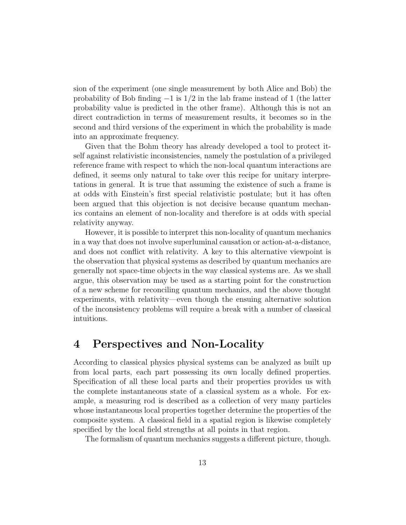sion of the experiment (one single measurement by both Alice and Bob) the probability of Bob finding  $-1$  is  $1/2$  in the lab frame instead of 1 (the latter probability value is predicted in the other frame). Although this is not an direct contradiction in terms of measurement results, it becomes so in the second and third versions of the experiment in which the probability is made into an approximate frequency.

Given that the Bohm theory has already developed a tool to protect itself against relativistic inconsistencies, namely the postulation of a privileged reference frame with respect to which the non-local quantum interactions are defined, it seems only natural to take over this recipe for unitary interpretations in general. It is true that assuming the existence of such a frame is at odds with Einstein's first special relativistic postulate; but it has often been argued that this objection is not decisive because quantum mechanics contains an element of non-locality and therefore is at odds with special relativity anyway.

However, it is possible to interpret this non-locality of quantum mechanics in a way that does not involve superluminal causation or action-at-a-distance, and does not conflict with relativity. A key to this alternative viewpoint is the observation that physical systems as described by quantum mechanics are generally not space-time objects in the way classical systems are. As we shall argue, this observation may be used as a starting point for the construction of a new scheme for reconciling quantum mechanics, and the above thought experiments, with relativity—even though the ensuing alternative solution of the inconsistency problems will require a break with a number of classical intuitions.

#### 4 Perspectives and Non-Locality

According to classical physics physical systems can be analyzed as built up from local parts, each part possessing its own locally defined properties. Specification of all these local parts and their properties provides us with the complete instantaneous state of a classical system as a whole. For example, a measuring rod is described as a collection of very many particles whose instantaneous local properties together determine the properties of the composite system. A classical field in a spatial region is likewise completely specified by the local field strengths at all points in that region.

The formalism of quantum mechanics suggests a different picture, though.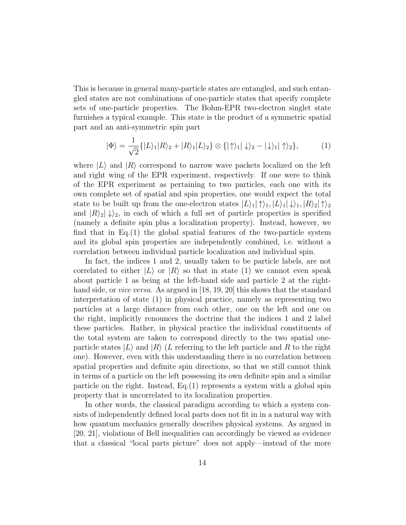This is because in general many-particle states are entangled, and such entangled states are not combinations of one-particle states that specify complete sets of one-particle properties. The Bohm-EPR two-electron singlet state furnishes a typical example. This state is the product of a symmetric spatial part and an anti-symmetric spin part

$$
|\Phi\rangle = \frac{1}{\sqrt{2}} \{|L\rangle_1 |R\rangle_2 + |R\rangle_1 |L\rangle_2\} \otimes \{|\uparrow\rangle_1 |\downarrow\rangle_2 - |\downarrow\rangle_1 |\uparrow\rangle_2\},\tag{1}
$$

where  $|L\rangle$  and  $|R\rangle$  correspond to narrow wave packets localized on the left and right wing of the EPR experiment, respectively. If one were to think of the EPR experiment as pertaining to two particles, each one with its own complete set of spatial and spin properties, one would expect the total state to be built up from the one-electron states  $|L\rangle_1|\!\uparrow\rangle_1, |L\rangle_1|\!\downarrow\rangle_1, |R\rangle_2|\!\uparrow\rangle_2$ and  $|R\rangle_2|\downarrow\rangle_2$ , in each of which a full set of particle properties is specified (namely a definite spin plus a localization property). Instead, however, we find that in Eq.(1) the global spatial features of the two-particle system and its global spin properties are independently combined, i.e. without a correlation between individual particle localization and individual spin.

In fact, the indices 1 and 2, usually taken to be particle labels, are not correlated to either  $|L\rangle$  or  $|R\rangle$  so that in state (1) we cannot even speak about particle 1 as being at the left-hand side and particle 2 at the righthand side, or *vice versa*. As argued in [18, 19, 20] this shows that the standard interpretation of state (1) in physical practice, namely as representing two particles at a large distance from each other, one on the left and one on the right, implicitly renounces the doctrine that the indices 1 and 2 label these particles. Rather, in physical practice the individual constituents of the total system are taken to correspond directly to the two spatial oneparticle states  $|L\rangle$  and  $|R\rangle$  (L referring to the left particle and R to the right one). However, even with this understanding there is no correlation between spatial properties and definite spin directions, so that we still cannot think in terms of a particle on the left possessing its own definite spin and a similar particle on the right. Instead,  $Eq.(1)$  represents a system with a global spin property that is uncorrelated to its localization properties.

In other words, the classical paradigm according to which a system consists of independently defined local parts does not fit in in a natural way with how quantum mechanics generally describes physical systems. As argued in [20, 21], violations of Bell inequalities can accordingly be viewed as evidence that a classical "local parts picture" does not apply—instead of the more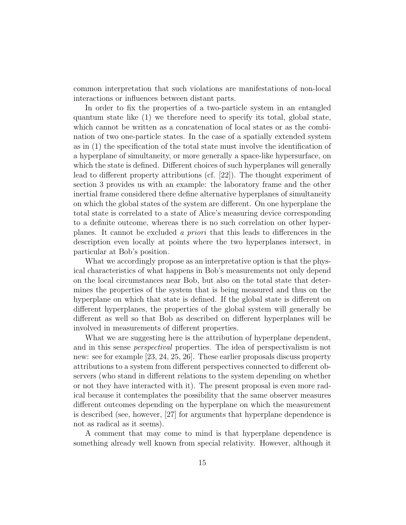common interpretation that such violations are manifestations of non-local interactions or influences between distant parts.

In order to fix the properties of a two-particle system in an entangled quantum state like (1) we therefore need to specify its total, global state, which cannot be written as a concatenation of local states or as the combination of two one-particle states. In the case of a spatially extended system as in (1) the specification of the total state must involve the identification of a hyperplane of simultaneity, or more generally a space-like hypersurface, on which the state is defined. Different choices of such hyperplanes will generally lead to different property attributions (cf. [22]). The thought experiment of section 3 provides us with an example: the laboratory frame and the other inertial frame considered there define alternative hyperplanes of simultaneity on which the global states of the system are different. On one hyperplane the total state is correlated to a state of Alice's measuring device corresponding to a definite outcome, whereas there is no such correlation on other hyperplanes. It cannot be excluded a priori that this leads to differences in the description even locally at points where the two hyperplanes intersect, in particular at Bob's position.

What we accordingly propose as an interpretative option is that the physical characteristics of what happens in Bob's measurements not only depend on the local circumstances near Bob, but also on the total state that determines the properties of the system that is being measured and thus on the hyperplane on which that state is defined. If the global state is different on different hyperplanes, the properties of the global system will generally be different as well so that Bob as described on different hyperplanes will be involved in measurements of different properties.

What we are suggesting here is the attribution of hyperplane dependent, and in this sense perspectival properties. The idea of perspectivalism is not new: see for example [23, 24, 25, 26]. These earlier proposals discuss property attributions to a system from different perspectives connected to different observers (who stand in different relations to the system depending on whether or not they have interacted with it). The present proposal is even more radical because it contemplates the possibility that the same observer measures different outcomes depending on the hyperplane on which the measurement is described (see, however, [27] for arguments that hyperplane dependence is not as radical as it seems).

A comment that may come to mind is that hyperplane dependence is something already well known from special relativity. However, although it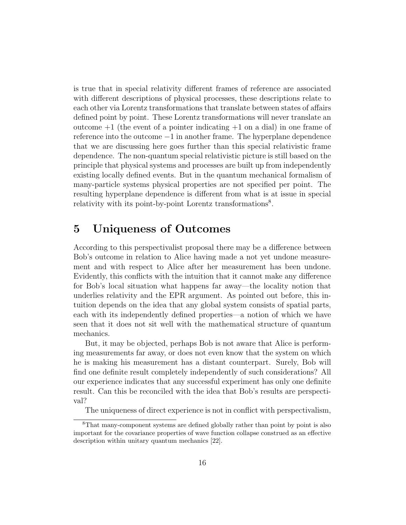is true that in special relativity different frames of reference are associated with different descriptions of physical processes, these descriptions relate to each other via Lorentz transformations that translate between states of affairs defined point by point. These Lorentz transformations will never translate an outcome  $+1$  (the event of a pointer indicating  $+1$  on a dial) in one frame of reference into the outcome −1 in another frame. The hyperplane dependence that we are discussing here goes further than this special relativistic frame dependence. The non-quantum special relativistic picture is still based on the principle that physical systems and processes are built up from independently existing locally defined events. But in the quantum mechanical formalism of many-particle systems physical properties are not specified per point. The resulting hyperplane dependence is different from what is at issue in special relativity with its point-by-point Lorentz transformations<sup>8</sup>.

#### 5 Uniqueness of Outcomes

According to this perspectivalist proposal there may be a difference between Bob's outcome in relation to Alice having made a not yet undone measurement and with respect to Alice after her measurement has been undone. Evidently, this conflicts with the intuition that it cannot make any difference for Bob's local situation what happens far away—the locality notion that underlies relativity and the EPR argument. As pointed out before, this intuition depends on the idea that any global system consists of spatial parts, each with its independently defined properties—a notion of which we have seen that it does not sit well with the mathematical structure of quantum mechanics.

But, it may be objected, perhaps Bob is not aware that Alice is performing measurements far away, or does not even know that the system on which he is making his measurement has a distant counterpart. Surely, Bob will find one definite result completely independently of such considerations? All our experience indicates that any successful experiment has only one definite result. Can this be reconciled with the idea that Bob's results are perspectival?

The uniqueness of direct experience is not in conflict with perspectivalism,

<sup>8</sup>That many-component systems are defined globally rather than point by point is also important for the covariance properties of wave function collapse construed as an effective description within unitary quantum mechanics [22].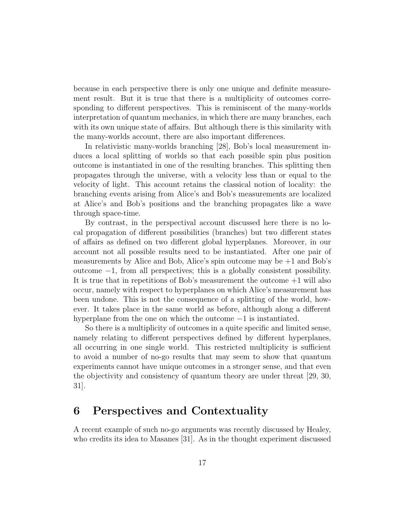because in each perspective there is only one unique and definite measurement result. But it is true that there is a multiplicity of outcomes corresponding to different perspectives. This is reminiscent of the many-worlds interpretation of quantum mechanics, in which there are many branches, each with its own unique state of affairs. But although there is this similarity with the many-worlds account, there are also important differences.

In relativistic many-worlds branching [28], Bob's local measurement induces a local splitting of worlds so that each possible spin plus position outcome is instantiated in one of the resulting branches. This splitting then propagates through the universe, with a velocity less than or equal to the velocity of light. This account retains the classical notion of locality: the branching events arising from Alice's and Bob's measurements are localized at Alice's and Bob's positions and the branching propagates like a wave through space-time.

By contrast, in the perspectival account discussed here there is no local propagation of different possibilities (branches) but two different states of affairs as defined on two different global hyperplanes. Moreover, in our account not all possible results need to be instantiated. After one pair of measurements by Alice and Bob, Alice's spin outcome may be  $+1$  and Bob's outcome −1, from all perspectives; this is a globally consistent possibility. It is true that in repetitions of Bob's measurement the outcome +1 will also occur, namely with respect to hyperplanes on which Alice's measurement has been undone. This is not the consequence of a splitting of the world, however. It takes place in the same world as before, although along a different hyperplane from the one on which the outcome −1 is instantiated.

So there is a multiplicity of outcomes in a quite specific and limited sense, namely relating to different perspectives defined by different hyperplanes, all occurring in one single world. This restricted multiplicity is sufficient to avoid a number of no-go results that may seem to show that quantum experiments cannot have unique outcomes in a stronger sense, and that even the objectivity and consistency of quantum theory are under threat [29, 30, 31].

#### 6 Perspectives and Contextuality

A recent example of such no-go arguments was recently discussed by Healey, who credits its idea to Masanes [31]. As in the thought experiment discussed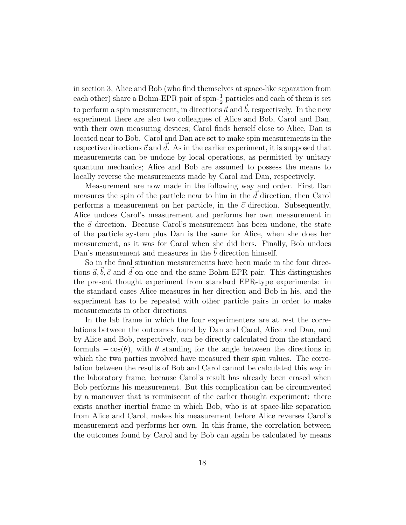in section 3, Alice and Bob (who find themselves at space-like separation from each other) share a Bohm-EPR pair of spin- $\frac{1}{2}$  particles and each of them is set to perform a spin measurement, in directions  $\vec{a}$  and  $\vec{b}$ , respectively. In the new experiment there are also two colleagues of Alice and Bob, Carol and Dan, with their own measuring devices; Carol finds herself close to Alice, Dan is located near to Bob. Carol and Dan are set to make spin measurements in the respective directions  $\vec{c}$  and  $\vec{d}$ . As in the earlier experiment, it is supposed that measurements can be undone by local operations, as permitted by unitary quantum mechanics; Alice and Bob are assumed to possess the means to locally reverse the measurements made by Carol and Dan, respectively.

Measurement are now made in the following way and order. First Dan measures the spin of the particle near to him in the  $\vec{d}$  direction, then Carol performs a measurement on her particle, in the  $\vec{c}$  direction. Subsequently, Alice undoes Carol's measurement and performs her own measurement in the  $\vec{a}$  direction. Because Carol's measurement has been undone, the state of the particle system plus Dan is the same for Alice, when she does her measurement, as it was for Carol when she did hers. Finally, Bob undoes Dan's measurement and measures in the  $\vec{b}$  direction himself.

So in the final situation measurements have been made in the four directions  $\vec{a}, \vec{b}, \vec{c}$  and  $\vec{d}$  on one and the same Bohm-EPR pair. This distinguishes the present thought experiment from standard EPR-type experiments: in the standard cases Alice measures in her direction and Bob in his, and the experiment has to be repeated with other particle pairs in order to make measurements in other directions.

In the lab frame in which the four experimenters are at rest the correlations between the outcomes found by Dan and Carol, Alice and Dan, and by Alice and Bob, respectively, can be directly calculated from the standard formula  $-\cos(\theta)$ , with  $\theta$  standing for the angle between the directions in which the two parties involved have measured their spin values. The correlation between the results of Bob and Carol cannot be calculated this way in the laboratory frame, because Carol's result has already been erased when Bob performs his measurement. But this complication can be circumvented by a maneuver that is reminiscent of the earlier thought experiment: there exists another inertial frame in which Bob, who is at space-like separation from Alice and Carol, makes his measurement before Alice reverses Carol's measurement and performs her own. In this frame, the correlation between the outcomes found by Carol and by Bob can again be calculated by means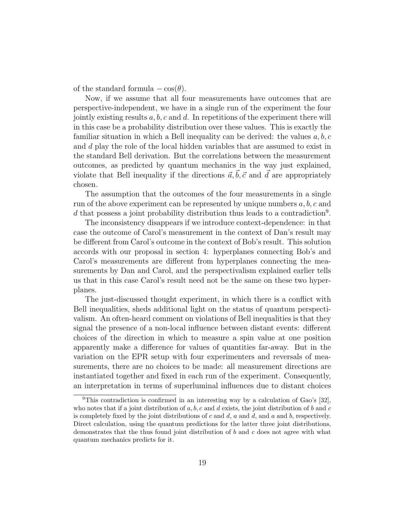of the standard formula  $-\cos(\theta)$ .

Now, if we assume that all four measurements have outcomes that are perspective-independent, we have in a single run of the experiment the four jointly existing results  $a, b, c$  and  $d$ . In repetitions of the experiment there will in this case be a probability distribution over these values. This is exactly the familiar situation in which a Bell inequality can be derived: the values  $a, b, c$ and d play the role of the local hidden variables that are assumed to exist in the standard Bell derivation. But the correlations between the measurement outcomes, as predicted by quantum mechanics in the way just explained, violate that Bell inequality if the directions  $\vec{a}, \vec{b}, \vec{c}$  and  $\vec{d}$  are appropriately chosen.

The assumption that the outcomes of the four measurements in a single run of the above experiment can be represented by unique numbers  $a, b, c$  and  $d$  that possess a joint probability distribution thus leads to a contradiction<sup>9</sup>.

The inconsistency disappears if we introduce context-dependence: in that case the outcome of Carol's measurement in the context of Dan's result may be different from Carol's outcome in the context of Bob's result. This solution accords with our proposal in section 4: hyperplanes connecting Bob's and Carol's measurements are different from hyperplanes connecting the measurements by Dan and Carol, and the perspectivalism explained earlier tells us that in this case Carol's result need not be the same on these two hyperplanes.

The just-discussed thought experiment, in which there is a conflict with Bell inequalities, sheds additional light on the status of quantum perspectivalism. An often-heard comment on violations of Bell inequalities is that they signal the presence of a non-local influence between distant events: different choices of the direction in which to measure a spin value at one position apparently make a difference for values of quantities far-away. But in the variation on the EPR setup with four experimenters and reversals of measurements, there are no choices to be made: all measurement directions are instantiated together and fixed in each run of the experiment. Consequently, an interpretation in terms of superluminal influences due to distant choices

<sup>9</sup>This contradiction is confirmed in an interesting way by a calculation of Gao's [32], who notes that if a joint distribution of  $a, b, c$  and  $d$  exists, the joint distribution of  $b$  and  $c$ is completely fixed by the joint distributions of c and d, a and d, and a and b, respectively. Direct calculation, using the quantum predictions for the latter three joint distributions, demonstrates that the thus found joint distribution of b and c does not agree with what quantum mechanics predicts for it.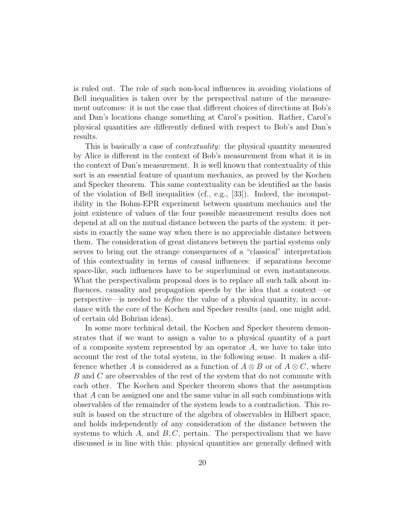is ruled out. The role of such non-local influences in avoiding violations of Bell inequalities is taken over by the perspectival nature of the measurement outcomes: it is not the case that different choices of directions at Bob's and Dan's locations change something at Carol's position. Rather, Carol's physical quantities are differently defined with respect to Bob's and Dan's results.

This is basically a case of *contextuality*: the physical quantity measured by Alice is different in the context of Bob's measurement from what it is in the context of Dan's measurement. It is well known that contextuality of this sort is an essential feature of quantum mechanics, as proved by the Kochen and Specker theorem. This same contextuality can be identified as the basis of the violation of Bell inequalities (cf., e.g., [33]). Indeed, the incompatibility in the Bohm-EPR experiment between quantum mechanics and the joint existence of values of the four possible measurement results does not depend at all on the mutual distance between the parts of the system: it persists in exactly the same way when there is no appreciable distance between them. The consideration of great distances between the partial systems only serves to bring out the strange consequences of a "classical" interpretation of this contextuality in terms of causal influences: if separations become space-like, such influences have to be superluminal or even instantaneous. What the perspectivalism proposal does is to replace all such talk about influences, causality and propagation speeds by the idea that a context—or perspective—is needed to define the value of a physical quantity, in accordance with the core of the Kochen and Specker results (and, one might add, of certain old Bohrian ideas).

In some more technical detail, the Kochen and Specker theorem demonstrates that if we want to assign a value to a physical quantity of a part of a composite system represented by an operator  $A$ , we have to take into account the rest of the total system, in the following sense. It makes a difference whether A is considered as a function of  $A \otimes B$  or of  $A \otimes C$ , where B and C are observables of the rest of the system that do not commute with each other. The Kochen and Specker theorem shows that the assumption that A can be assigned one and the same value in all such combinations with observables of the remainder of the system leads to a contradiction. This result is based on the structure of the algebra of observables in Hilbert space, and holds independently of any consideration of the distance between the systems to which  $A$ , and  $B$ ,  $C$ , pertain. The perspectivalism that we have discussed is in line with this: physical quantities are generally defined with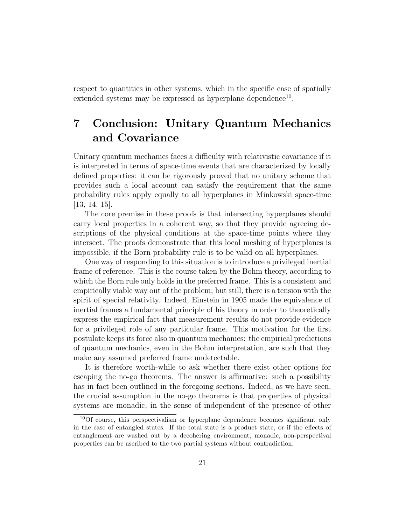respect to quantities in other systems, which in the specific case of spatially extended systems may be expressed as hyperplane dependence<sup>10</sup>.

## 7 Conclusion: Unitary Quantum Mechanics and Covariance

Unitary quantum mechanics faces a difficulty with relativistic covariance if it is interpreted in terms of space-time events that are characterized by locally defined properties: it can be rigorously proved that no unitary scheme that provides such a local account can satisfy the requirement that the same probability rules apply equally to all hyperplanes in Minkowski space-time [13, 14, 15].

The core premise in these proofs is that intersecting hyperplanes should carry local properties in a coherent way, so that they provide agreeing descriptions of the physical conditions at the space-time points where they intersect. The proofs demonstrate that this local meshing of hyperplanes is impossible, if the Born probability rule is to be valid on all hyperplanes.

One way of responding to this situation is to introduce a privileged inertial frame of reference. This is the course taken by the Bohm theory, according to which the Born rule only holds in the preferred frame. This is a consistent and empirically viable way out of the problem; but still, there is a tension with the spirit of special relativity. Indeed, Einstein in 1905 made the equivalence of inertial frames a fundamental principle of his theory in order to theoretically express the empirical fact that measurement results do not provide evidence for a privileged role of any particular frame. This motivation for the first postulate keeps its force also in quantum mechanics: the empirical predictions of quantum mechanics, even in the Bohm interpretation, are such that they make any assumed preferred frame undetectable.

It is therefore worth-while to ask whether there exist other options for escaping the no-go theorems. The answer is affirmative: such a possibility has in fact been outlined in the foregoing sections. Indeed, as we have seen, the crucial assumption in the no-go theorems is that properties of physical systems are monadic, in the sense of independent of the presence of other

<sup>&</sup>lt;sup>10</sup>Of course, this perspectivalism or hyperplane dependence becomes significant only in the case of entangled states. If the total state is a product state, or if the effects of entanglement are washed out by a decohering environment, monadic, non-perspectival properties can be ascribed to the two partial systems without contradiction.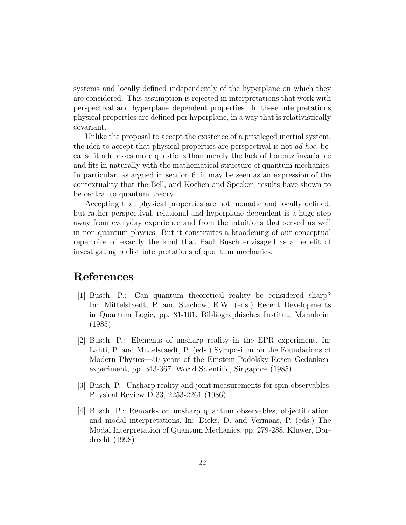systems and locally defined independently of the hyperplane on which they are considered. This assumption is rejected in interpretations that work with perspectival and hyperplane dependent properties. In these interpretations physical properties are defined per hyperplane, in a way that is relativistically covariant.

Unlike the proposal to accept the existence of a privileged inertial system, the idea to accept that physical properties are perspectival is not ad hoc, because it addresses more questions than merely the lack of Lorentz invariance and fits in naturally with the mathematical structure of quantum mechanics. In particular, as argued in section 6, it may be seen as an expression of the contextuality that the Bell, and Kochen and Specker, results have shown to be central to quantum theory.

Accepting that physical properties are not monadic and locally defined, but rather perspectival, relational and hyperplane dependent is a huge step away from everyday experience and from the intuitions that served us well in non-quantum physics. But it constitutes a broadening of our conceptual repertoire of exactly the kind that Paul Busch envisaged as a benefit of investigating realist interpretations of quantum mechanics.

#### References

- [1] Busch, P.: Can quantum theoretical reality be considered sharp? In: Mittelstaedt, P. and Stachow, E.W. (eds.) Recent Developments in Quantum Logic, pp. 81-101. Bibliographisches Institut, Mannheim (1985)
- [2] Busch, P.: Elements of unsharp reality in the EPR experiment. In: Lahti, P. and Mittelstaedt, P. (eds.) Symposium on the Foundations of Modern Physics—50 years of the Einstein-Podolsky-Rosen Gedankenexperiment, pp. 343-367. World Scientific, Singapore (1985)
- [3] Busch, P.: Unsharp reality and joint measurements for spin observables, Physical Review D 33, 2253-2261 (1986)
- [4] Busch, P.: Remarks on unsharp quantum observables, objectification, and modal interpretations. In: Dieks, D. and Vermaas, P. (eds.) The Modal Interpretation of Quantum Mechanics, pp. 279-288. Kluwer, Dordrecht (1998)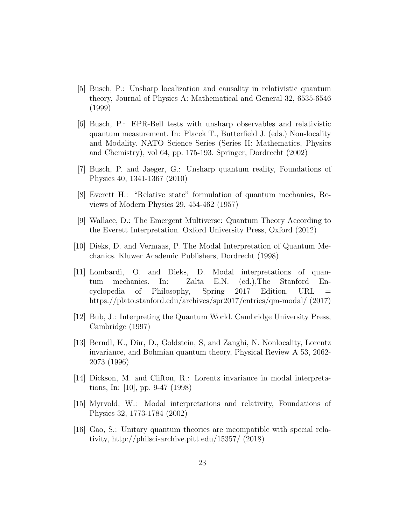- [5] Busch, P.: Unsharp localization and causality in relativistic quantum theory, Journal of Physics A: Mathematical and General 32, 6535-6546 (1999)
- [6] Busch, P.: EPR-Bell tests with unsharp observables and relativistic quantum measurement. In: Placek T., Butterfield J. (eds.) Non-locality and Modality. NATO Science Series (Series II: Mathematics, Physics and Chemistry), vol 64, pp. 175-193. Springer, Dordrecht (2002)
- [7] Busch, P. and Jaeger, G.: Unsharp quantum reality, Foundations of Physics 40, 1341-1367 (2010)
- [8] Everett H.: "Relative state" formulation of quantum mechanics, Reviews of Modern Physics 29, 454-462 (1957)
- [9] Wallace, D.: The Emergent Multiverse: Quantum Theory According to the Everett Interpretation. Oxford University Press, Oxford (2012)
- [10] Dieks, D. and Vermaas, P. The Modal Interpretation of Quantum Mechanics. Kluwer Academic Publishers, Dordrecht (1998)
- [11] Lombardi, O. and Dieks, D. Modal interpretations of quantum mechanics. In: Zalta E.N. (ed.),The Stanford Encyclopedia of Philosophy, Spring 2017 Edition. URL = https://plato.stanford.edu/archives/spr2017/entries/qm-modal/ (2017)
- [12] Bub, J.: Interpreting the Quantum World. Cambridge University Press, Cambridge (1997)
- [13] Berndl, K., Dür, D., Goldstein, S., and Zanghi, N. Nonlocality, Lorentz invariance, and Bohmian quantum theory, Physical Review A 53, 2062- 2073 (1996)
- [14] Dickson, M. and Clifton, R.: Lorentz invariance in modal interpretations, In: [10], pp. 9-47 (1998)
- [15] Myrvold, W.: Modal interpretations and relativity, Foundations of Physics 32, 1773-1784 (2002)
- [16] Gao, S.: Unitary quantum theories are incompatible with special relativity, http://philsci-archive.pitt.edu/15357/ (2018)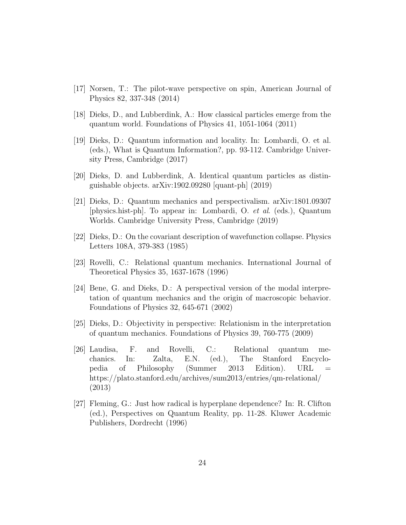- [17] Norsen, T.: The pilot-wave perspective on spin, American Journal of Physics 82, 337-348 (2014)
- [18] Dieks, D., and Lubberdink, A.: How classical particles emerge from the quantum world. Foundations of Physics 41, 1051-1064 (2011)
- [19] Dieks, D.: Quantum information and locality. In: Lombardi, O. et al. (eds.), What is Quantum Information?, pp. 93-112. Cambridge University Press, Cambridge (2017)
- [20] Dieks, D. and Lubberdink, A. Identical quantum particles as distinguishable objects. arXiv:1902.09280 [quant-ph] (2019)
- [21] Dieks, D.: Quantum mechanics and perspectivalism. arXiv:1801.09307 [physics.hist-ph]. To appear in: Lombardi, O. et al. (eds.), Quantum Worlds. Cambridge University Press, Cambridge (2019)
- [22] Dieks, D.: On the covariant description of wavefunction collapse. Physics Letters 108A, 379-383 (1985)
- [23] Rovelli, C.: Relational quantum mechanics. International Journal of Theoretical Physics 35, 1637-1678 (1996)
- [24] Bene, G. and Dieks, D.: A perspectival version of the modal interpretation of quantum mechanics and the origin of macroscopic behavior. Foundations of Physics 32, 645-671 (2002)
- [25] Dieks, D.: Objectivity in perspective: Relationism in the interpretation of quantum mechanics. Foundations of Physics 39, 760-775 (2009)
- [26] Laudisa, F. and Rovelli, C.: Relational quantum mechanics. In: Zalta, E.N. (ed.), The Stanford Encyclopedia of Philosophy (Summer 2013 Edition). URL = https://plato.stanford.edu/archives/sum2013/entries/qm-relational/ (2013)
- [27] Fleming, G.: Just how radical is hyperplane dependence? In: R. Clifton (ed.), Perspectives on Quantum Reality, pp. 11-28. Kluwer Academic Publishers, Dordrecht (1996)